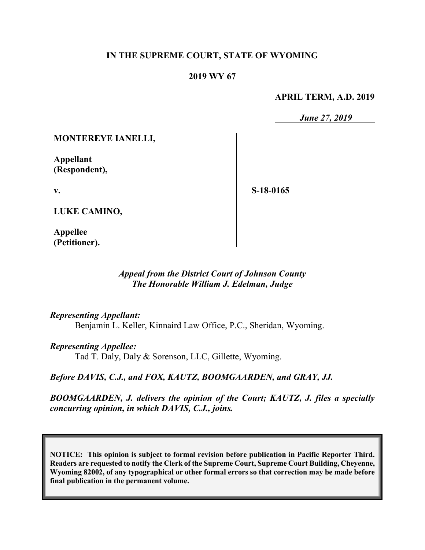#### **IN THE SUPREME COURT, STATE OF WYOMING**

#### **2019 WY 67**

#### **APRIL TERM, A.D. 2019**

*June 27, 2019*

#### **MONTEREYE IANELLI,**

**Appellant (Respondent),**

**v.**

**S-18-0165**

**LUKE CAMINO,**

**Appellee (Petitioner).**

### *Appeal from the District Court of Johnson County The Honorable William J. Edelman, Judge*

#### *Representing Appellant:*

Benjamin L. Keller, Kinnaird Law Office, P.C., Sheridan, Wyoming.

#### *Representing Appellee:*

Tad T. Daly, Daly & Sorenson, LLC, Gillette, Wyoming.

*Before DAVIS, C.J., and FOX, KAUTZ, BOOMGAARDEN, and GRAY, JJ.*

*BOOMGAARDEN, J. delivers the opinion of the Court; KAUTZ, J. files a specially concurring opinion, in which DAVIS, C.J., joins.*

**NOTICE: This opinion is subject to formal revision before publication in Pacific Reporter Third. Readers are requested to notify the Clerk of the Supreme Court, Supreme Court Building, Cheyenne, Wyoming 82002, of any typographical or other formal errors so that correction may be made before final publication in the permanent volume.**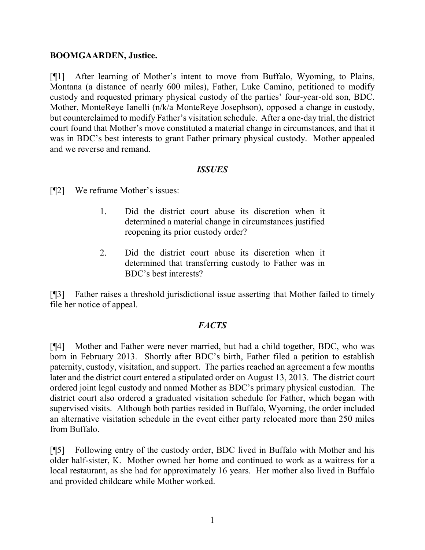#### **BOOMGAARDEN, Justice.**

[¶1] After learning of Mother's intent to move from Buffalo, Wyoming, to Plains, Montana (a distance of nearly 600 miles), Father, Luke Camino, petitioned to modify custody and requested primary physical custody of the parties' four-year-old son, BDC. Mother, MonteReye Ianelli (n/k/a MonteReye Josephson), opposed a change in custody, but counterclaimed to modify Father's visitation schedule. After a one-day trial, the district court found that Mother's move constituted a material change in circumstances, and that it was in BDC's best interests to grant Father primary physical custody. Mother appealed and we reverse and remand.

#### *ISSUES*

[¶2] We reframe Mother's issues:

- 1. Did the district court abuse its discretion when it determined a material change in circumstances justified reopening its prior custody order?
- 2. Did the district court abuse its discretion when it determined that transferring custody to Father was in BDC's best interests?

[¶3] Father raises a threshold jurisdictional issue asserting that Mother failed to timely file her notice of appeal.

### *FACTS*

[¶4] Mother and Father were never married, but had a child together, BDC, who was born in February 2013. Shortly after BDC's birth, Father filed a petition to establish paternity, custody, visitation, and support. The parties reached an agreement a few months later and the district court entered a stipulated order on August 13, 2013. The district court ordered joint legal custody and named Mother as BDC's primary physical custodian. The district court also ordered a graduated visitation schedule for Father, which began with supervised visits. Although both parties resided in Buffalo, Wyoming, the order included an alternative visitation schedule in the event either party relocated more than 250 miles from Buffalo.

[¶5] Following entry of the custody order, BDC lived in Buffalo with Mother and his older half-sister, K. Mother owned her home and continued to work as a waitress for a local restaurant, as she had for approximately 16 years. Her mother also lived in Buffalo and provided childcare while Mother worked.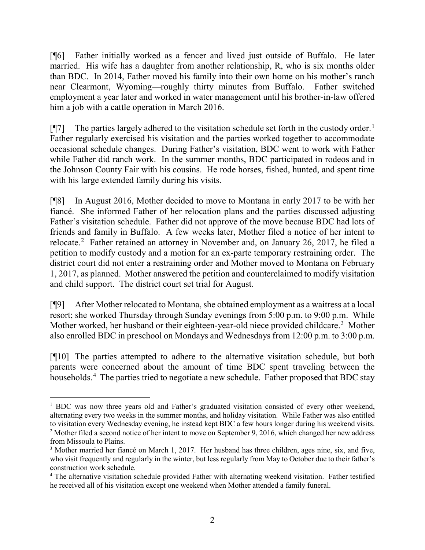[¶6] Father initially worked as a fencer and lived just outside of Buffalo. He later married. His wife has a daughter from another relationship, R, who is six months older than BDC. In 2014, Father moved his family into their own home on his mother's ranch near Clearmont, Wyoming—roughly thirty minutes from Buffalo. Father switched employment a year later and worked in water management until his brother-in-law offered him a job with a cattle operation in March 2016.

 $[\P{7}]$  The parties largely adhered to the visitation schedule set forth in the custody order.<sup>[1](#page-2-0)</sup> Father regularly exercised his visitation and the parties worked together to accommodate occasional schedule changes. During Father's visitation, BDC went to work with Father while Father did ranch work. In the summer months, BDC participated in rodeos and in the Johnson County Fair with his cousins. He rode horses, fished, hunted, and spent time with his large extended family during his visits.

[¶8] In August 2016, Mother decided to move to Montana in early 2017 to be with her fiancé. She informed Father of her relocation plans and the parties discussed adjusting Father's visitation schedule. Father did not approve of the move because BDC had lots of friends and family in Buffalo. A few weeks later, Mother filed a notice of her intent to relocate. [2](#page-2-1) Father retained an attorney in November and, on January 26, 2017, he filed a petition to modify custody and a motion for an ex-parte temporary restraining order. The district court did not enter a restraining order and Mother moved to Montana on February 1, 2017, as planned. Mother answered the petition and counterclaimed to modify visitation and child support. The district court set trial for August.

[¶9] After Mother relocated to Montana, she obtained employment as a waitress at a local resort; she worked Thursday through Sunday evenings from 5:00 p.m. to 9:00 p.m. While Mother worked, her husband or their eighteen-year-old niece provided childcare.<sup>[3](#page-2-2)</sup> Mother also enrolled BDC in preschool on Mondays and Wednesdays from 12:00 p.m. to 3:00 p.m.

[¶10] The parties attempted to adhere to the alternative visitation schedule, but both parents were concerned about the amount of time BDC spent traveling between the households.<sup>[4](#page-2-3)</sup> The parties tried to negotiate a new schedule. Father proposed that BDC stay

<span id="page-2-0"></span><sup>&</sup>lt;sup>1</sup> BDC was now three years old and Father's graduated visitation consisted of every other weekend, alternating every two weeks in the summer months, and holiday visitation. While Father was also entitled to visitation every Wednesday evening, he instead kept BDC a few hours longer during his weekend visits. <sup>2</sup> Mother filed a second notice of her intent to move on September 9, 2016, which changed her new address

<span id="page-2-1"></span>from Missoula to Plains.

<span id="page-2-2"></span><sup>&</sup>lt;sup>3</sup> Mother married her fiancé on March 1, 2017. Her husband has three children, ages nine, six, and five, who visit frequently and regularly in the winter, but less regularly from May to October due to their father's construction work schedule.

<span id="page-2-3"></span><sup>&</sup>lt;sup>4</sup> The alternative visitation schedule provided Father with alternating weekend visitation. Father testified he received all of his visitation except one weekend when Mother attended a family funeral.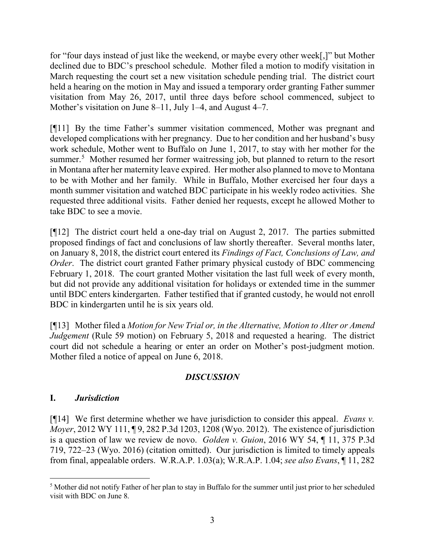for "four days instead of just like the weekend, or maybe every other week[,]" but Mother declined due to BDC's preschool schedule. Mother filed a motion to modify visitation in March requesting the court set a new visitation schedule pending trial. The district court held a hearing on the motion in May and issued a temporary order granting Father summer visitation from May 26, 2017, until three days before school commenced, subject to Mother's visitation on June 8–11, July 1–4, and August 4–7.

[¶11] By the time Father's summer visitation commenced, Mother was pregnant and developed complications with her pregnancy. Due to her condition and her husband's busy work schedule, Mother went to Buffalo on June 1, 2017, to stay with her mother for the summer.<sup>[5](#page-3-0)</sup> Mother resumed her former waitressing job, but planned to return to the resort in Montana after her maternity leave expired. Her mother also planned to move to Montana to be with Mother and her family. While in Buffalo, Mother exercised her four days a month summer visitation and watched BDC participate in his weekly rodeo activities. She requested three additional visits. Father denied her requests, except he allowed Mother to take BDC to see a movie.

[¶12] The district court held a one-day trial on August 2, 2017. The parties submitted proposed findings of fact and conclusions of law shortly thereafter. Several months later, on January 8, 2018, the district court entered its *Findings of Fact, Conclusions of Law, and Order*. The district court granted Father primary physical custody of BDC commencing February 1, 2018. The court granted Mother visitation the last full week of every month, but did not provide any additional visitation for holidays or extended time in the summer until BDC enters kindergarten. Father testified that if granted custody, he would not enroll BDC in kindergarten until he is six years old.

[¶13] Mother filed a *Motion for New Trial or, in the Alternative, Motion to Alter or Amend Judgement* (Rule 59 motion) on February 5, 2018 and requested a hearing. The district court did not schedule a hearing or enter an order on Mother's post-judgment motion. Mother filed a notice of appeal on June 6, 2018.

## *DISCUSSION*

## **I.** *Jurisdiction*

[¶14] We first determine whether we have jurisdiction to consider this appeal. *Evans v. Moyer*, 2012 WY 111, ¶ 9, 282 P.3d 1203, 1208 (Wyo. 2012). The existence of jurisdiction is a question of law we review de novo. *Golden v. Guion*, 2016 WY 54, ¶ 11, 375 P.3d 719, 722–23 (Wyo. 2016) (citation omitted). Our jurisdiction is limited to timely appeals from final, appealable orders. W.R.A.P. 1.03(a); W.R.A.P. 1.04; *see also Evans*, ¶ 11, 282

<span id="page-3-0"></span> <sup>5</sup> Mother did not notify Father of her plan to stay in Buffalo for the summer until just prior to her scheduled visit with BDC on June 8.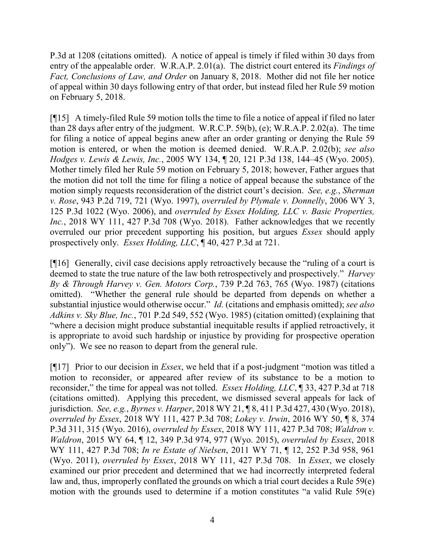P.3d at 1208 (citations omitted). A notice of appeal is timely if filed within 30 days from entry of the appealable order. W.R.A.P. 2.01(a). The district court entered its *Findings of Fact, Conclusions of Law, and Order* on January 8, 2018. Mother did not file her notice of appeal within 30 days following entry of that order, but instead filed her Rule 59 motion on February 5, 2018.

[¶15] A timely-filed Rule 59 motion tolls the time to file a notice of appeal if filed no later than 28 days after entry of the judgment. W.R.C.P. 59(b), (e); W.R.A.P. 2.02(a). The time for filing a notice of appeal begins anew after an order granting or denying the Rule 59 motion is entered, or when the motion is deemed denied. W.R.A.P. 2.02(b); *see also Hodges v. Lewis & Lewis, Inc.*, 2005 WY 134, ¶ 20, 121 P.3d 138, 144–45 (Wyo. 2005). Mother timely filed her Rule 59 motion on February 5, 2018; however, Father argues that the motion did not toll the time for filing a notice of appeal because the substance of the motion simply requests reconsideration of the district court's decision. *See, e.g.*, *Sherman v. Rose*, 943 P.2d 719, 721 (Wyo. 1997), *overruled by Plymale v. Donnelly*, 2006 WY 3, 125 P.3d 1022 (Wyo. 2006), and *overruled by Essex Holding, LLC v. Basic Properties, Inc.*, 2018 WY 111, 427 P.3d 708 (Wyo. 2018). Father acknowledges that we recently overruled our prior precedent supporting his position, but argues *Essex* should apply prospectively only. *Essex Holding, LLC*, ¶ 40, 427 P.3d at 721.

[¶16] Generally, civil case decisions apply retroactively because the "ruling of a court is deemed to state the true nature of the law both retrospectively and prospectively." *Harvey By & Through Harvey v. Gen. Motors Corp.*, 739 P.2d 763, 765 (Wyo. 1987) (citations omitted). "Whether the general rule should be departed from depends on whether a substantial injustice would otherwise occur." *Id.* (citations and emphasis omitted); *see also Adkins v. Sky Blue, Inc.*, 701 P.2d 549, 552 (Wyo. 1985) (citation omitted) (explaining that "where a decision might produce substantial inequitable results if applied retroactively, it is appropriate to avoid such hardship or injustice by providing for prospective operation only"). We see no reason to depart from the general rule.

[¶17] Prior to our decision in *Essex*, we held that if a post-judgment "motion was titled a motion to reconsider, or appeared after review of its substance to be a motion to reconsider," the time for appeal was not tolled. *Essex Holding, LLC*, ¶ 33, 427 P.3d at 718 (citations omitted). Applying this precedent, we dismissed several appeals for lack of jurisdiction. *See, e.g.*, *Byrnes v. Harper*, 2018 WY 21, ¶ 8, 411 P.3d 427, 430 (Wyo. 2018), *overruled by Essex*, 2018 WY 111, 427 P.3d 708; *Lokey v. Irwin*, 2016 WY 50, ¶ 8, 374 P.3d 311, 315 (Wyo. 2016), *overruled by Essex*, 2018 WY 111, 427 P.3d 708; *Waldron v. Waldron*, 2015 WY 64, ¶ 12, 349 P.3d 974, 977 (Wyo. 2015), *overruled by Essex*, 2018 WY 111, 427 P.3d 708; *In re Estate of Nielsen*, 2011 WY 71, ¶ 12, 252 P.3d 958, 961 (Wyo. 2011), *overruled by Essex*, 2018 WY 111, 427 P.3d 708. In *Essex*, we closely examined our prior precedent and determined that we had incorrectly interpreted federal law and, thus, improperly conflated the grounds on which a trial court decides a Rule 59(e) motion with the grounds used to determine if a motion constitutes "a valid Rule 59(e)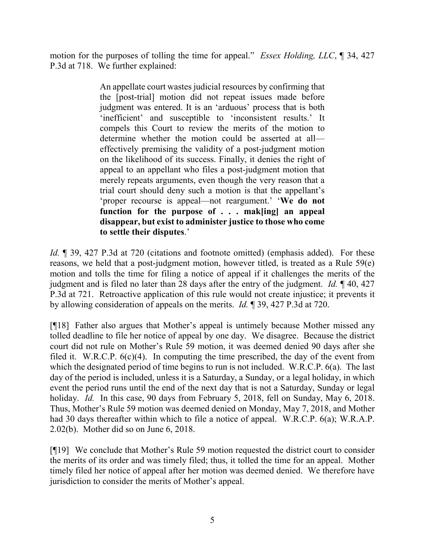motion for the purposes of tolling the time for appeal." *Essex Holding, LLC*, ¶ 34, 427 P.3d at 718. We further explained:

> An appellate court wastes judicial resources by confirming that the [post-trial] motion did not repeat issues made before judgment was entered. It is an 'arduous' process that is both 'inefficient' and susceptible to 'inconsistent results.' It compels this Court to review the merits of the motion to determine whether the motion could be asserted at all effectively premising the validity of a post-judgment motion on the likelihood of its success. Finally, it denies the right of appeal to an appellant who files a post-judgment motion that merely repeats arguments, even though the very reason that a trial court should deny such a motion is that the appellant's 'proper recourse is appeal—not reargument.' '**We do not function for the purpose of . . . mak[ing] an appeal disappear, but exist to administer justice to those who come to settle their disputes**.'

*Id.* ¶ 39, 427 P.3d at 720 (citations and footnote omitted) (emphasis added). For these reasons, we held that a post-judgment motion, however titled, is treated as a Rule 59(e) motion and tolls the time for filing a notice of appeal if it challenges the merits of the judgment and is filed no later than 28 days after the entry of the judgment. *Id.* ¶ 40, 427 P.3d at 721. Retroactive application of this rule would not create injustice; it prevents it by allowing consideration of appeals on the merits. *Id.* ¶ 39, 427 P.3d at 720.

[¶18] Father also argues that Mother's appeal is untimely because Mother missed any tolled deadline to file her notice of appeal by one day. We disagree. Because the district court did not rule on Mother's Rule 59 motion, it was deemed denied 90 days after she filed it. W.R.C.P. 6(c)(4). In computing the time prescribed, the day of the event from which the designated period of time begins to run is not included. W.R.C.P. 6(a). The last day of the period is included, unless it is a Saturday, a Sunday, or a legal holiday, in which event the period runs until the end of the next day that is not a Saturday, Sunday or legal holiday. *Id.* In this case, 90 days from February 5, 2018, fell on Sunday, May 6, 2018. Thus, Mother's Rule 59 motion was deemed denied on Monday, May 7, 2018, and Mother had 30 days thereafter within which to file a notice of appeal. W.R.C.P. 6(a); W.R.A.P. 2.02(b). Mother did so on June 6, 2018.

[¶19] We conclude that Mother's Rule 59 motion requested the district court to consider the merits of its order and was timely filed; thus, it tolled the time for an appeal. Mother timely filed her notice of appeal after her motion was deemed denied. We therefore have jurisdiction to consider the merits of Mother's appeal.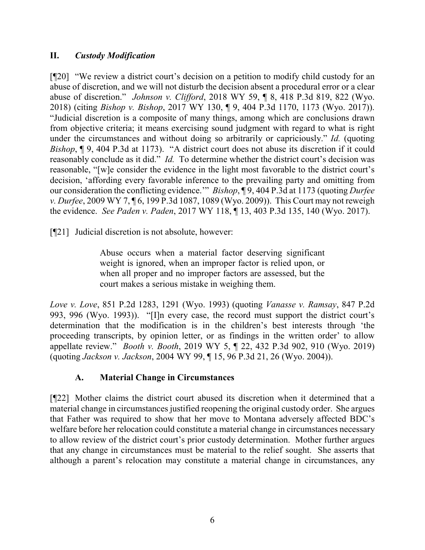## **II.** *Custody Modification*

[¶20] "We review a district court's decision on a petition to modify child custody for an abuse of discretion, and we will not disturb the decision absent a procedural error or a clear abuse of discretion." *Johnson v. Clifford*, 2018 WY 59, ¶ 8, 418 P.3d 819, 822 (Wyo. 2018) (citing *Bishop v. Bishop*, 2017 WY 130, ¶ 9, 404 P.3d 1170, 1173 (Wyo. 2017)). "Judicial discretion is a composite of many things, among which are conclusions drawn from objective criteria; it means exercising sound judgment with regard to what is right under the circumstances and without doing so arbitrarily or capriciously." *Id.* (quoting *Bishop*, ¶ 9, 404 P.3d at 1173). "A district court does not abuse its discretion if it could reasonably conclude as it did." *Id.* To determine whether the district court's decision was reasonable, "[w]e consider the evidence in the light most favorable to the district court's decision, 'affording every favorable inference to the prevailing party and omitting from our consideration the conflicting evidence.'" *Bishop*, ¶ 9, 404 P.3d at 1173 (quoting *Durfee v. Durfee*, 2009 WY 7, ¶ 6, 199 P.3d 1087, 1089 (Wyo. 2009)). This Court may not reweigh the evidence. *See Paden v. Paden*, 2017 WY 118, ¶ 13, 403 P.3d 135, 140 (Wyo. 2017).

[¶21] Judicial discretion is not absolute, however:

Abuse occurs when a material factor deserving significant weight is ignored, when an improper factor is relied upon, or when all proper and no improper factors are assessed, but the court makes a serious mistake in weighing them.

*Love v. Love*, 851 P.2d 1283, 1291 (Wyo. 1993) (quoting *Vanasse v. Ramsay*, 847 P.2d 993, 996 (Wyo. 1993)). "[I]n every case, the record must support the district court's determination that the modification is in the children's best interests through 'the proceeding transcripts, by opinion letter, or as findings in the written order' to allow appellate review." *Booth v. Booth*, 2019 WY 5, ¶ 22, 432 P.3d 902, 910 (Wyo. 2019) (quoting *Jackson v. Jackson*, 2004 WY 99, ¶ 15, 96 P.3d 21, 26 (Wyo. 2004)).

## **A. Material Change in Circumstances**

[¶22] Mother claims the district court abused its discretion when it determined that a material change in circumstances justified reopening the original custody order. She argues that Father was required to show that her move to Montana adversely affected BDC's welfare before her relocation could constitute a material change in circumstances necessary to allow review of the district court's prior custody determination. Mother further argues that any change in circumstances must be material to the relief sought. She asserts that although a parent's relocation may constitute a material change in circumstances, any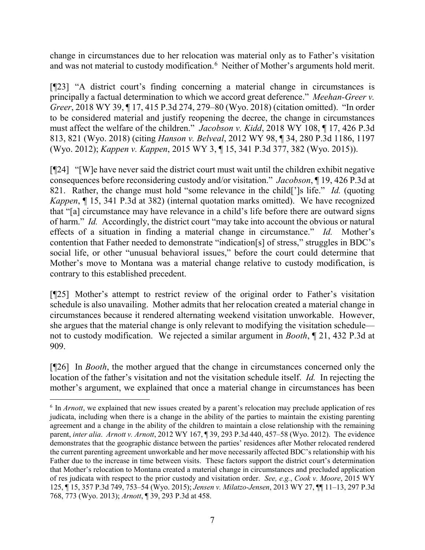change in circumstances due to her relocation was material only as to Father's visitation and was not material to custody modification.<sup>[6](#page-7-0)</sup> Neither of Mother's arguments hold merit.

[¶23] "A district court's finding concerning a material change in circumstances is principally a factual determination to which we accord great deference." *Meehan-Greer v. Greer*, 2018 WY 39, ¶ 17, 415 P.3d 274, 279–80 (Wyo. 2018) (citation omitted). "In order to be considered material and justify reopening the decree, the change in circumstances must affect the welfare of the children." *Jacobson v. Kidd*, 2018 WY 108, ¶ 17, 426 P.3d 813, 821 (Wyo. 2018) (citing *Hanson v. Belveal*, 2012 WY 98, ¶ 34, 280 P.3d 1186, 1197 (Wyo. 2012); *Kappen v. Kappen*, 2015 WY 3, ¶ 15, 341 P.3d 377, 382 (Wyo. 2015)).

[¶24] "[W]e have never said the district court must wait until the children exhibit negative consequences before reconsidering custody and/or visitation." *Jacobson*, ¶ 19, 426 P.3d at 821. Rather, the change must hold "some relevance in the child[']s life." *Id.* (quoting *Kappen*, ¶ 15, 341 P.3d at 382) (internal quotation marks omitted). We have recognized that "[a] circumstance may have relevance in a child's life before there are outward signs of harm." *Id.* Accordingly, the district court "may take into account the obvious or natural effects of a situation in finding a material change in circumstance." *Id.* Mother's contention that Father needed to demonstrate "indication[s] of stress," struggles in BDC's social life, or other "unusual behavioral issues," before the court could determine that Mother's move to Montana was a material change relative to custody modification, is contrary to this established precedent.

[¶25] Mother's attempt to restrict review of the original order to Father's visitation schedule is also unavailing. Mother admits that her relocation created a material change in circumstances because it rendered alternating weekend visitation unworkable. However, she argues that the material change is only relevant to modifying the visitation schedule not to custody modification. We rejected a similar argument in *Booth*, ¶ 21, 432 P.3d at 909.

[¶26] In *Booth*, the mother argued that the change in circumstances concerned only the location of the father's visitation and not the visitation schedule itself. *Id.* In rejecting the mother's argument, we explained that once a material change in circumstances has been

<span id="page-7-0"></span> <sup>6</sup> In *Arnott*, we explained that new issues created by a parent's relocation may preclude application of res judicata, including when there is a change in the ability of the parties to maintain the existing parenting agreement and a change in the ability of the children to maintain a close relationship with the remaining parent, *inter alia*. *Arnott v. Arnott*, 2012 WY 167, ¶ 39, 293 P.3d 440, 457–58 (Wyo. 2012). The evidence demonstrates that the geographic distance between the parties' residences after Mother relocated rendered the current parenting agreement unworkable and her move necessarily affected BDC's relationship with his Father due to the increase in time between visits. These factors support the district court's determination that Mother's relocation to Montana created a material change in circumstances and precluded application of res judicata with respect to the prior custody and visitation order. *See, e.g.*, *Cook v. Moore*, 2015 WY 125, ¶ 15, 357 P.3d 749, 753–54 (Wyo. 2015); *Jensen v. Milatzo-Jensen*, 2013 WY 27, ¶¶ 11–13, 297 P.3d 768, 773 (Wyo. 2013); *Arnott*, ¶ 39, 293 P.3d at 458.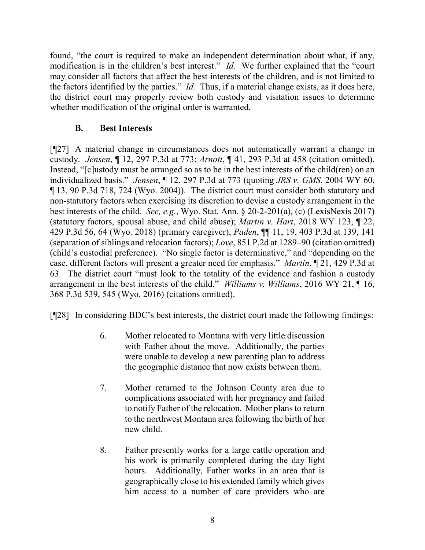found, "the court is required to make an independent determination about what, if any, modification is in the children's best interest." *Id.* We further explained that the "court may consider all factors that affect the best interests of the children, and is not limited to the factors identified by the parties." *Id.* Thus, if a material change exists, as it does here, the district court may properly review both custody and visitation issues to determine whether modification of the original order is warranted.

## **B. Best Interests**

[¶27] A material change in circumstances does not automatically warrant a change in custody. *Jensen*, ¶ 12, 297 P.3d at 773; *Arnott*, ¶ 41, 293 P.3d at 458 (citation omitted). Instead, "[c]ustody must be arranged so as to be in the best interests of the child(ren) on an individualized basis." *Jensen*, ¶ 12, 297 P.3d at 773 (quoting *JRS v. GMS*, 2004 WY 60, ¶ 13, 90 P.3d 718, 724 (Wyo. 2004)). The district court must consider both statutory and non-statutory factors when exercising its discretion to devise a custody arrangement in the best interests of the child. *See, e.g.*, Wyo. Stat. Ann. § 20-2-201(a), (c) (LexisNexis 2017) (statutory factors, spousal abuse, and child abuse); *Martin v. Hart*, 2018 WY 123, ¶ 22, 429 P.3d 56, 64 (Wyo. 2018) (primary caregiver); *Paden*, ¶¶ 11, 19, 403 P.3d at 139, 141 (separation of siblings and relocation factors); *Love*, 851 P.2d at 1289–90 (citation omitted) (child's custodial preference). "No single factor is determinative," and "depending on the case, different factors will present a greater need for emphasis." *Martin*, ¶ 21, 429 P.3d at 63. The district court "must look to the totality of the evidence and fashion a custody arrangement in the best interests of the child." *Williams v. Williams*, 2016 WY 21, ¶ 16, 368 P.3d 539, 545 (Wyo. 2016) (citations omitted).

[¶28] In considering BDC's best interests, the district court made the following findings:

- 6. Mother relocated to Montana with very little discussion with Father about the move. Additionally, the parties were unable to develop a new parenting plan to address the geographic distance that now exists between them.
- 7. Mother returned to the Johnson County area due to complications associated with her pregnancy and failed to notify Father of the relocation. Mother plans to return to the northwest Montana area following the birth of her new child.
- 8. Father presently works for a large cattle operation and his work is primarily completed during the day light hours. Additionally, Father works in an area that is geographically close to his extended family which gives him access to a number of care providers who are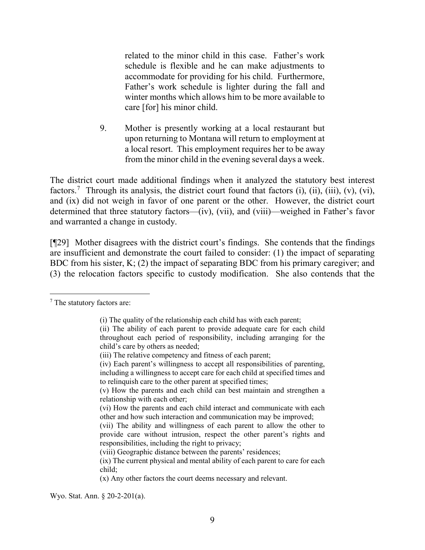related to the minor child in this case. Father's work schedule is flexible and he can make adjustments to accommodate for providing for his child. Furthermore, Father's work schedule is lighter during the fall and winter months which allows him to be more available to care [for] his minor child.

9. Mother is presently working at a local restaurant but upon returning to Montana will return to employment at a local resort. This employment requires her to be away from the minor child in the evening several days a week.

The district court made additional findings when it analyzed the statutory best interest factors.<sup>[7](#page-9-0)</sup> Through its analysis, the district court found that factors (i), (ii), (iii), (v), (vi), and (ix) did not weigh in favor of one parent or the other. However, the district court determined that three statutory factors—(iv), (vii), and (viii)—weighed in Father's favor and warranted a change in custody.

[¶29] Mother disagrees with the district court's findings. She contends that the findings are insufficient and demonstrate the court failed to consider: (1) the impact of separating BDC from his sister, K; (2) the impact of separating BDC from his primary caregiver; and (3) the relocation factors specific to custody modification. She also contends that the

Wyo. Stat. Ann. § 20-2-201(a).

<span id="page-9-0"></span> <sup>7</sup> The statutory factors are:

<sup>(</sup>i) The quality of the relationship each child has with each parent;

<sup>(</sup>ii) The ability of each parent to provide adequate care for each child throughout each period of responsibility, including arranging for the child's care by others as needed;

<sup>(</sup>iii) The relative competency and fitness of each parent;

<sup>(</sup>iv) Each parent's willingness to accept all responsibilities of parenting, including a willingness to accept care for each child at specified times and to relinquish care to the other parent at specified times;

<sup>(</sup>v) How the parents and each child can best maintain and strengthen a relationship with each other;

<sup>(</sup>vi) How the parents and each child interact and communicate with each other and how such interaction and communication may be improved;

<sup>(</sup>vii) The ability and willingness of each parent to allow the other to provide care without intrusion, respect the other parent's rights and responsibilities, including the right to privacy;

<sup>(</sup>viii) Geographic distance between the parents' residences;

<sup>(</sup>ix) The current physical and mental ability of each parent to care for each child;

<sup>(</sup>x) Any other factors the court deems necessary and relevant.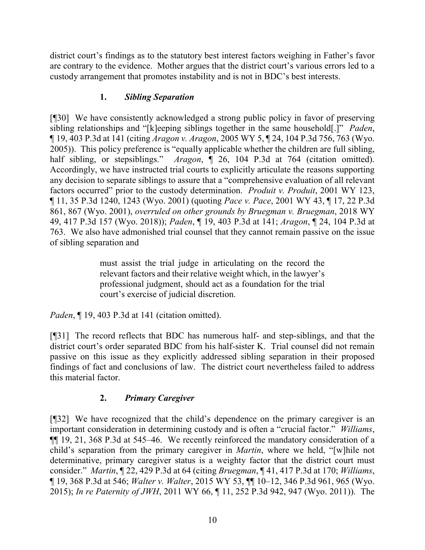district court's findings as to the statutory best interest factors weighing in Father's favor are contrary to the evidence. Mother argues that the district court's various errors led to a custody arrangement that promotes instability and is not in BDC's best interests.

# **1.** *Sibling Separation*

[¶30] We have consistently acknowledged a strong public policy in favor of preserving sibling relationships and "[k]eeping siblings together in the same household[.]" *Paden*, ¶ 19, 403 P.3d at 141 (citing *Aragon v. Aragon*, 2005 WY 5, ¶ 24, 104 P.3d 756, 763 (Wyo. 2005)). This policy preference is "equally applicable whether the children are full sibling, half sibling, or stepsiblings." *Aragon*,  $\parallel$  26, 104 P.3d at 764 (citation omitted). Accordingly, we have instructed trial courts to explicitly articulate the reasons supporting any decision to separate siblings to assure that a "comprehensive evaluation of all relevant factors occurred" prior to the custody determination. *Produit v. Produit*, 2001 WY 123, ¶ 11, 35 P.3d 1240, 1243 (Wyo. 2001) (quoting *Pace v. Pace*, 2001 WY 43, ¶ 17, 22 P.3d 861, 867 (Wyo. 2001), *overruled on other grounds by Bruegman v. Bruegman*, 2018 WY 49, 417 P.3d 157 (Wyo. 2018)); *Paden*, ¶ 19, 403 P.3d at 141; *Aragon*, ¶ 24, 104 P.3d at 763. We also have admonished trial counsel that they cannot remain passive on the issue of sibling separation and

> must assist the trial judge in articulating on the record the relevant factors and their relative weight which, in the lawyer's professional judgment, should act as a foundation for the trial court's exercise of judicial discretion.

*Paden*, ¶ 19, 403 P.3d at 141 (citation omitted).

[¶31] The record reflects that BDC has numerous half- and step-siblings, and that the district court's order separated BDC from his half-sister K. Trial counsel did not remain passive on this issue as they explicitly addressed sibling separation in their proposed findings of fact and conclusions of law. The district court nevertheless failed to address this material factor.

# **2.** *Primary Caregiver*

[¶32] We have recognized that the child's dependence on the primary caregiver is an important consideration in determining custody and is often a "crucial factor." *Williams*, ¶¶ 19, 21, 368 P.3d at 545–46. We recently reinforced the mandatory consideration of a child's separation from the primary caregiver in *Martin*, where we held, "[w]hile not determinative, primary caregiver status is a weighty factor that the district court must consider." *Martin*, ¶ 22, 429 P.3d at 64 (citing *Bruegman*, ¶ 41, 417 P.3d at 170; *Williams*, ¶ 19, 368 P.3d at 546; *Walter v. Walter*, 2015 WY 53, ¶¶ 10–12, 346 P.3d 961, 965 (Wyo. 2015); *In re Paternity of JWH*, 2011 WY 66, ¶ 11, 252 P.3d 942, 947 (Wyo. 2011)). The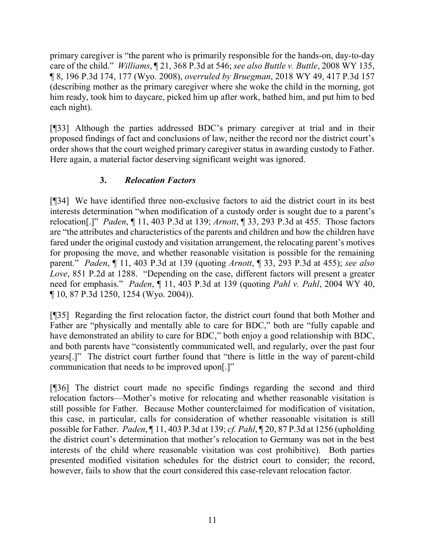primary caregiver is "the parent who is primarily responsible for the hands-on, day-to-day care of the child." *Williams*, ¶ 21, 368 P.3d at 546; *see also Buttle v. Buttle*, 2008 WY 135, ¶ 8, 196 P.3d 174, 177 (Wyo. 2008), *overruled by Bruegman*, 2018 WY 49, 417 P.3d 157 (describing mother as the primary caregiver where she woke the child in the morning, got him ready, took him to daycare, picked him up after work, bathed him, and put him to bed each night).

[¶33] Although the parties addressed BDC's primary caregiver at trial and in their proposed findings of fact and conclusions of law, neither the record nor the district court's order shows that the court weighed primary caregiver status in awarding custody to Father. Here again, a material factor deserving significant weight was ignored.

## **3.** *Relocation Factors*

[¶34] We have identified three non-exclusive factors to aid the district court in its best interests determination "when modification of a custody order is sought due to a parent's relocation[.]" *Paden*, ¶ 11, 403 P.3d at 139; *Arnott*, ¶ 33, 293 P.3d at 455. Those factors are "the attributes and characteristics of the parents and children and how the children have fared under the original custody and visitation arrangement, the relocating parent's motives for proposing the move, and whether reasonable visitation is possible for the remaining parent." *Paden*, ¶ 11, 403 P.3d at 139 (quoting *Arnott*, ¶ 33, 293 P.3d at 455); *see also Love*, 851 P.2d at 1288. "Depending on the case, different factors will present a greater need for emphasis." *Paden*, ¶ 11, 403 P.3d at 139 (quoting *Pahl v. Pahl*, 2004 WY 40, ¶ 10, 87 P.3d 1250, 1254 (Wyo. 2004)).

[¶35] Regarding the first relocation factor, the district court found that both Mother and Father are "physically and mentally able to care for BDC," both are "fully capable and have demonstrated an ability to care for BDC," both enjoy a good relationship with BDC, and both parents have "consistently communicated well, and regularly, over the past four years[.]" The district court further found that "there is little in the way of parent-child communication that needs to be improved upon[.]"

[¶36] The district court made no specific findings regarding the second and third relocation factors—Mother's motive for relocating and whether reasonable visitation is still possible for Father. Because Mother counterclaimed for modification of visitation, this case, in particular, calls for consideration of whether reasonable visitation is still possible for Father. *Paden*, ¶ 11, 403 P.3d at 139; *cf. Pahl*, ¶ 20, 87 P.3d at 1256 (upholding the district court's determination that mother's relocation to Germany was not in the best interests of the child where reasonable visitation was cost prohibitive). Both parties presented modified visitation schedules for the district court to consider; the record, however, fails to show that the court considered this case-relevant relocation factor.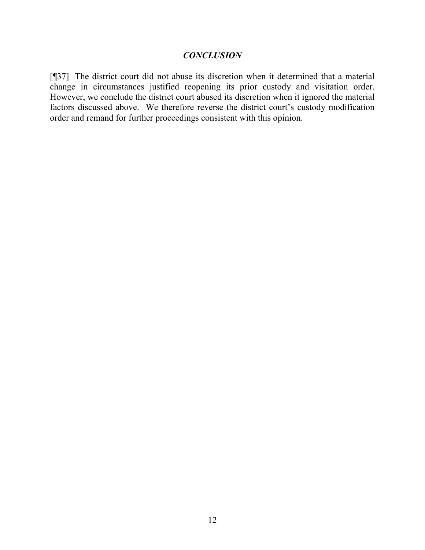#### *CONCLUSION*

[¶37] The district court did not abuse its discretion when it determined that a material change in circumstances justified reopening its prior custody and visitation order. However, we conclude the district court abused its discretion when it ignored the material factors discussed above. We therefore reverse the district court's custody modification order and remand for further proceedings consistent with this opinion.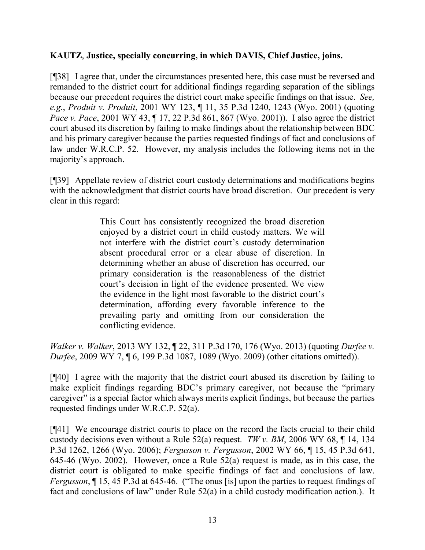### **KAUTZ**, **Justice, specially concurring, in which DAVIS, Chief Justice, joins.**

[¶38] I agree that, under the circumstances presented here, this case must be reversed and remanded to the district court for additional findings regarding separation of the siblings because our precedent requires the district court make specific findings on that issue. *See, e.g.*, *Produit v. Produit*, 2001 WY 123, ¶ 11, 35 P.3d 1240, 1243 (Wyo. 2001) (quoting *Pace v. Pace*, 2001 WY 43, ¶ 17, 22 P.3d 861, 867 (Wyo. 2001)). I also agree the district court abused its discretion by failing to make findings about the relationship between BDC and his primary caregiver because the parties requested findings of fact and conclusions of law under W.R.C.P. 52. However, my analysis includes the following items not in the majority's approach.

[¶39] Appellate review of district court custody determinations and modifications begins with the acknowledgment that district courts have broad discretion. Our precedent is very clear in this regard:

> This Court has consistently recognized the broad discretion enjoyed by a district court in child custody matters. We will not interfere with the district court's custody determination absent procedural error or a clear abuse of discretion. In determining whether an abuse of discretion has occurred, our primary consideration is the reasonableness of the district court's decision in light of the evidence presented. We view the evidence in the light most favorable to the district court's determination, affording every favorable inference to the prevailing party and omitting from our consideration the conflicting evidence.

*Walker v. Walker*, 2013 WY 132, ¶ 22, 311 P.3d 170, 176 (Wyo. 2013) (quoting *[Durfee v.](http://www.westlaw.com/Link/Document/FullText?findType=Y&serNum=2017950299&pubNum=0004645&originatingDoc=Ib43ea1d3377d11e38912df21cb42a557&refType=RP&fi=co_pp_sp_4645_1089&originationContext=document&vr=3.0&rs=cblt1.0&transitionType=DocumentItem&contextData=(sc.Search)#co_pp_sp_4645_1089)  Durfee*, [2009 WY 7, ¶ 6, 199 P.3d 1087, 1089 \(Wyo. 2009\)](http://www.westlaw.com/Link/Document/FullText?findType=Y&serNum=2017950299&pubNum=0004645&originatingDoc=Ib43ea1d3377d11e38912df21cb42a557&refType=RP&fi=co_pp_sp_4645_1089&originationContext=document&vr=3.0&rs=cblt1.0&transitionType=DocumentItem&contextData=(sc.Search)#co_pp_sp_4645_1089) (other citations omitted)).

[¶40] I agree with the majority that the district court abused its discretion by failing to make explicit findings regarding BDC's primary caregiver, not because the "primary caregiver" is a special factor which always merits explicit findings, but because the parties requested findings under W.R.C.P. 52(a).

[¶41] We encourage district courts to place on the record the facts crucial to their child custody decisions even without a Rule 52(a) request. *TW v. BM*, 2006 WY 68, ¶ 14, 134 P.3d 1262, 1266 (Wyo. 2006); *Fergusson v. Fergusson*, 2002 WY 66, ¶ 15, 45 P.3d 641, 645-46 (Wyo. 2002).However, once a Rule 52(a) request is made, as in this case, the district court is obligated to make specific findings of fact and conclusions of law. *Fergusson*, ¶ 15, 45 P.3d at 645-46.("The onus [is] upon the parties to request findings of fact and conclusions of law" under Rule 52(a) in a child custody modification action.). It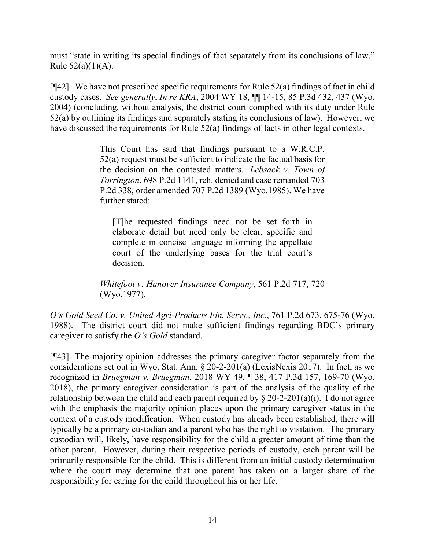must "state in writing its special findings of fact separately from its conclusions of law." Rule  $52(a)(1)(A)$ .

 $[\sqrt{42}]$  We have not prescribed specific requirements for Rule 52(a) findings of fact in child custody cases. *See generally*, *In re KRA*, 2004 WY 18, ¶¶ 14-15, 85 P.3d 432, 437 (Wyo. 2004) (concluding, without analysis, the district court complied with its duty under Rule 52(a) by outlining its findings and separately stating its conclusions of law). However, we have discussed the requirements for Rule 52(a) findings of facts in other legal contexts.

> This Court has said that findings pursuant to a [W.R.C.P.](https://1.next.westlaw.com/Link/Document/FullText?findType=L&pubNum=1008760&cite=WYRRCPR52&originatingDoc=Iaa098c76f53311d98ac8f235252e36df&refType=LQ&originationContext=document&transitionType=DocumentItem&contextData=(sc.Search)) [52\(a\)](https://1.next.westlaw.com/Link/Document/FullText?findType=L&pubNum=1008760&cite=WYRRCPR52&originatingDoc=Iaa098c76f53311d98ac8f235252e36df&refType=LQ&originationContext=document&transitionType=DocumentItem&contextData=(sc.Search)) request must be sufficient to indicate the factual basis for the decision on the contested matters. *[Lebsack v. Town of](https://1.next.westlaw.com/Link/Document/FullText?findType=Y&serNum=1985121959&pubNum=0000661&originatingDoc=Iaa098c76f53311d98ac8f235252e36df&refType=RP&originationContext=document&transitionType=DocumentItem&contextData=(sc.Search))  Torrington*, [698 P.2d 1141,](https://1.next.westlaw.com/Link/Document/FullText?findType=Y&serNum=1985121959&pubNum=0000661&originatingDoc=Iaa098c76f53311d98ac8f235252e36df&refType=RP&originationContext=document&transitionType=DocumentItem&contextData=(sc.Search)) reh. denied and case remanded [703](https://1.next.westlaw.com/Link/Document/FullText?findType=Y&serNum=1985139017&pubNum=0000661&originatingDoc=Iaa098c76f53311d98ac8f235252e36df&refType=RP&originationContext=document&transitionType=DocumentItem&contextData=(sc.Search))  [P.2d 338,](https://1.next.westlaw.com/Link/Document/FullText?findType=Y&serNum=1985139017&pubNum=0000661&originatingDoc=Iaa098c76f53311d98ac8f235252e36df&refType=RP&originationContext=document&transitionType=DocumentItem&contextData=(sc.Search)) order amended [707 P.2d 1389 \(Wyo.1985\).](https://1.next.westlaw.com/Link/Document/FullText?findType=Y&serNum=1985154089&pubNum=0000661&originatingDoc=Iaa098c76f53311d98ac8f235252e36df&refType=RP&originationContext=document&transitionType=DocumentItem&contextData=(sc.Search)) We have further stated:

[T]he requested findings need not be set forth in elaborate detail but need only be clear, specific and complete in concise language informing the appellate court of the underlying bases for the trial court's decision.

*[Whitefoot v. Hanover Insurance Company](https://1.next.westlaw.com/Link/Document/FullText?findType=Y&serNum=1977111893&pubNum=0000661&originatingDoc=Iaa098c76f53311d98ac8f235252e36df&refType=RP&fi=co_pp_sp_661_720&originationContext=document&transitionType=DocumentItem&contextData=(sc.Search)#co_pp_sp_661_720)*, 561 P.2d 717, 720 [\(Wyo.1977\).](https://1.next.westlaw.com/Link/Document/FullText?findType=Y&serNum=1977111893&pubNum=0000661&originatingDoc=Iaa098c76f53311d98ac8f235252e36df&refType=RP&fi=co_pp_sp_661_720&originationContext=document&transitionType=DocumentItem&contextData=(sc.Search)#co_pp_sp_661_720)

*O's Gold Seed Co. v. United Agri-Products Fin. Servs., Inc.*, 761 P.2d 673, 675-76 (Wyo. 1988). The district court did not make sufficient findings regarding BDC's primary caregiver to satisfy the *O's Gold* standard.

[¶43] The majority opinion addresses the primary caregiver factor separately from the considerations set out in Wyo. Stat. Ann. § 20-2-201(a) (LexisNexis 2017). In fact, as we recognized in *Bruegman v. Bruegman*, 2018 WY 49, ¶ 38, 417 P.3d 157, 169-70 (Wyo. 2018), the primary caregiver consideration is part of the analysis of the quality of the relationship between the child and each parent required by  $\S 20-2-201(a)(i)$ . I do not agree with the emphasis the majority opinion places upon the primary caregiver status in the context of a custody modification. When custody has already been established, there will typically be a primary custodian and a parent who has the right to visitation. The primary custodian will, likely, have responsibility for the child a greater amount of time than the other parent. However, during their respective periods of custody, each parent will be primarily responsible for the child. This is different from an initial custody determination where the court may determine that one parent has taken on a larger share of the responsibility for caring for the child throughout his or her life.